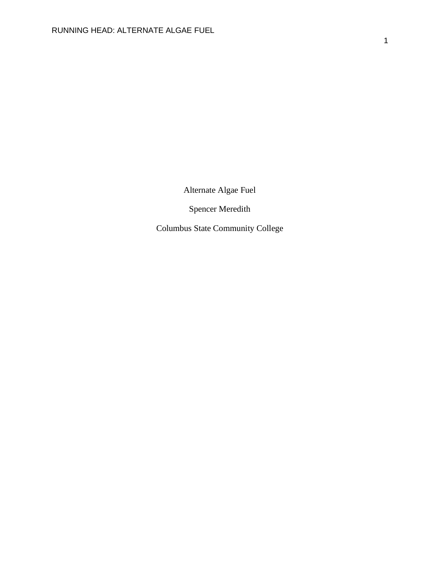Alternate Algae Fuel

Spencer Meredith

Columbus State Community College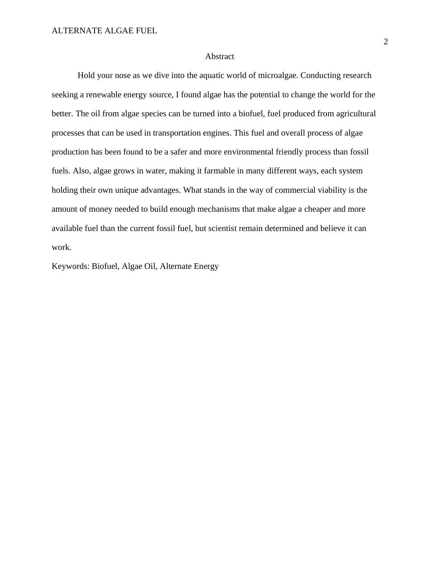## Abstract

Hold your nose as we dive into the aquatic world of microalgae. Conducting research seeking a renewable energy source, I found algae has the potential to change the world for the better. The oil from algae species can be turned into a biofuel, fuel produced from agricultural processes that can be used in transportation engines. This fuel and overall process of algae production has been found to be a safer and more environmental friendly process than fossil fuels. Also, algae grows in water, making it farmable in many different ways, each system holding their own unique advantages. What stands in the way of commercial viability is the amount of money needed to build enough mechanisms that make algae a cheaper and more available fuel than the current fossil fuel, but scientist remain determined and believe it can work.

Keywords: Biofuel, Algae Oil, Alternate Energy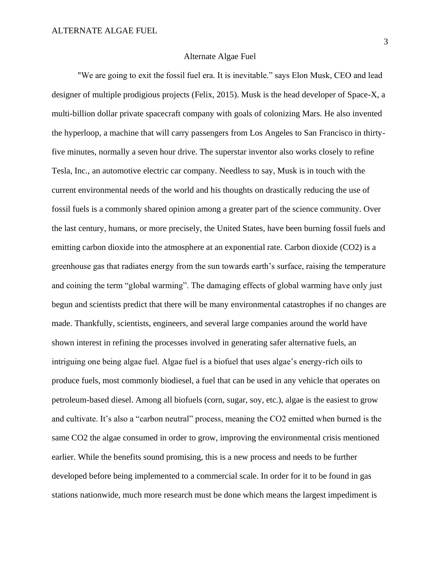### Alternate Algae Fuel

"We are going to exit the fossil fuel era. It is inevitable." says Elon Musk, CEO and lead designer of multiple prodigious projects (Felix, 2015). Musk is the head developer of Space-X, a multi-billion dollar private spacecraft company with goals of colonizing Mars. He also invented the hyperloop, a machine that will carry passengers from Los Angeles to San Francisco in thirtyfive minutes, normally a seven hour drive. The superstar inventor also works closely to refine Tesla, Inc., an automotive electric car company. Needless to say, Musk is in touch with the current environmental needs of the world and his thoughts on drastically reducing the use of fossil fuels is a commonly shared opinion among a greater part of the science community. Over the last century, humans, or more precisely, the United States, have been burning fossil fuels and emitting carbon dioxide into the atmosphere at an exponential rate. Carbon dioxide (CO2) is a greenhouse gas that radiates energy from the sun towards earth's surface, raising the temperature and coining the term "global warming". The damaging effects of global warming have only just begun and scientists predict that there will be many environmental catastrophes if no changes are made. Thankfully, scientists, engineers, and several large companies around the world have shown interest in refining the processes involved in generating safer alternative fuels, an intriguing one being algae fuel. Algae fuel is a biofuel that uses algae's energy-rich oils to produce fuels, most commonly biodiesel, a fuel that can be used in any vehicle that operates on petroleum-based diesel. Among all biofuels (corn, sugar, soy, etc.), algae is the easiest to grow and cultivate. It's also a "carbon neutral" process, meaning the CO2 emitted when burned is the same CO2 the algae consumed in order to grow, improving the environmental crisis mentioned earlier. While the benefits sound promising, this is a new process and needs to be further developed before being implemented to a commercial scale. In order for it to be found in gas stations nationwide, much more research must be done which means the largest impediment is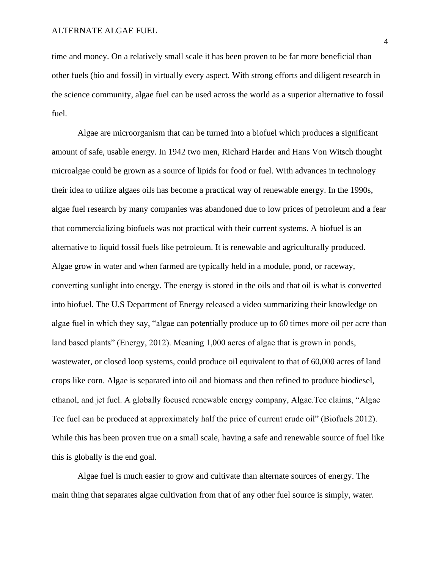time and money. On a relatively small scale it has been proven to be far more beneficial than other fuels (bio and fossil) in virtually every aspect. With strong efforts and diligent research in the science community, algae fuel can be used across the world as a superior alternative to fossil fuel.

Algae are microorganism that can be turned into a biofuel which produces a significant amount of safe, usable energy. In 1942 two men, Richard Harder and Hans Von Witsch thought microalgae could be grown as a source of lipids for food or fuel. With advances in technology their idea to utilize algaes oils has become a practical way of renewable energy. In the 1990s, algae fuel research by many companies was abandoned due to low prices of petroleum and a fear that commercializing biofuels was not practical with their current systems. A biofuel is an alternative to liquid fossil fuels like petroleum. It is renewable and agriculturally produced. Algae grow in water and when farmed are typically held in a module, pond, or raceway, converting sunlight into energy. The energy is stored in the oils and that oil is what is converted into biofuel. The U.S Department of Energy released a video summarizing their knowledge on algae fuel in which they say, "algae can potentially produce up to 60 times more oil per acre than land based plants" (Energy, 2012). Meaning 1,000 acres of algae that is grown in ponds, wastewater, or closed loop systems, could produce oil equivalent to that of 60,000 acres of land crops like corn. Algae is separated into oil and biomass and then refined to produce biodiesel, ethanol, and jet fuel. A globally focused renewable energy company, Algae.Tec claims, "Algae Tec fuel can be produced at approximately half the price of current crude oil" (Biofuels 2012). While this has been proven true on a small scale, having a safe and renewable source of fuel like this is globally is the end goal.

Algae fuel is much easier to grow and cultivate than alternate sources of energy. The main thing that separates algae cultivation from that of any other fuel source is simply, water.

4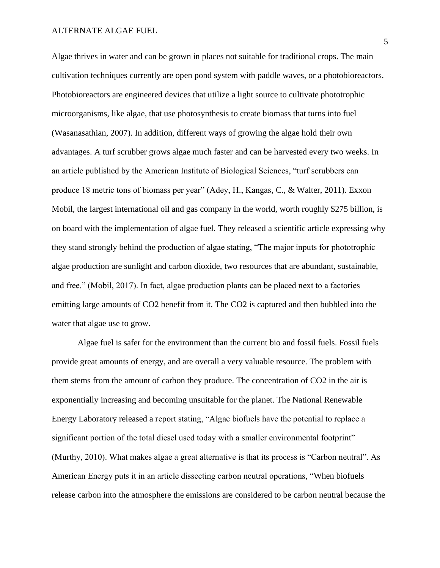#### ALTERNATE ALGAE FUEL

Algae thrives in water and can be grown in places not suitable for traditional crops. The main cultivation techniques currently are open pond system with paddle waves, or a photobioreactors. Photobioreactors are engineered devices that utilize a light source to cultivate phototrophic microorganisms, like algae, that use photosynthesis to create biomass that turns into fuel (Wasanasathian, 2007). In addition, different ways of growing the algae hold their own advantages. A turf scrubber grows algae much faster and can be harvested every two weeks. In an article published by the American Institute of Biological Sciences, "turf scrubbers can produce 18 metric tons of biomass per year" (Adey, H., Kangas, C., & Walter, 2011). Exxon Mobil, the largest international oil and gas company in the world, worth roughly \$275 billion, is on board with the implementation of algae fuel. They released a scientific article expressing why they stand strongly behind the production of algae stating, "The major inputs for phototrophic algae production are sunlight and carbon dioxide, two resources that are abundant, sustainable, and free." (Mobil, 2017). In fact, algae production plants can be placed next to a factories emitting large amounts of CO2 benefit from it. The CO2 is captured and then bubbled into the water that algae use to grow.

Algae fuel is safer for the environment than the current bio and fossil fuels. Fossil fuels provide great amounts of energy, and are overall a very valuable resource. The problem with them stems from the amount of carbon they produce. The concentration of CO2 in the air is exponentially increasing and becoming unsuitable for the planet. The National Renewable Energy Laboratory released a report stating, "Algae biofuels have the potential to replace a significant portion of the total diesel used today with a smaller environmental footprint" (Murthy, 2010). What makes algae a great alternative is that its process is "Carbon neutral". As American Energy puts it in an article dissecting carbon neutral operations, "When biofuels release carbon into the atmosphere the emissions are considered to be carbon neutral because the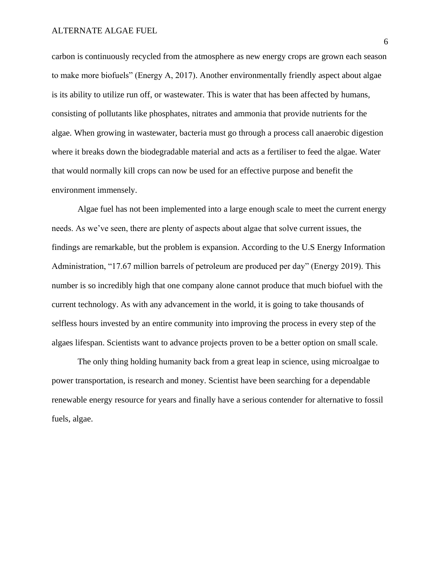carbon is continuously recycled from the atmosphere as new energy crops are grown each season to make more biofuels" (Energy A, 2017). Another environmentally friendly aspect about algae is its ability to utilize run off, or wastewater. This is water that has been affected by humans, consisting of pollutants like phosphates, nitrates and ammonia that provide nutrients for the algae. When growing in wastewater, bacteria must go through a process call anaerobic digestion where it breaks down the biodegradable material and acts as a fertiliser to feed the algae. Water that would normally kill crops can now be used for an effective purpose and benefit the environment immensely.

Algae fuel has not been implemented into a large enough scale to meet the current energy needs. As we've seen, there are plenty of aspects about algae that solve current issues, the findings are remarkable, but the problem is expansion. According to the U.S Energy Information Administration, "17.67 million barrels of petroleum are produced per day" (Energy 2019). This number is so incredibly high that one company alone cannot produce that much biofuel with the current technology. As with any advancement in the world, it is going to take thousands of selfless hours invested by an entire community into improving the process in every step of the algaes lifespan. Scientists want to advance projects proven to be a better option on small scale.

The only thing holding humanity back from a great leap in science, using microalgae to power transportation, is research and money. Scientist have been searching for a dependable renewable energy resource for years and finally have a serious contender for alternative to fossil fuels, algae.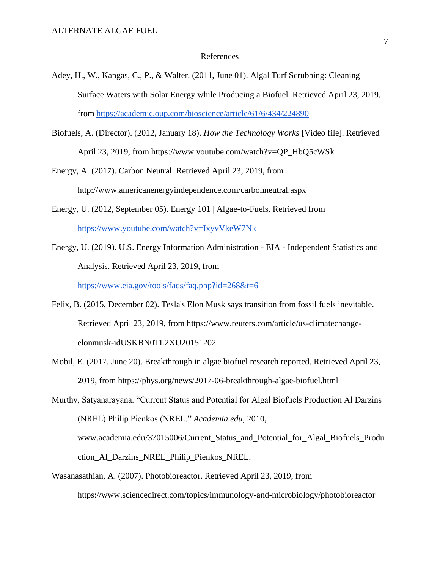#### References

- Adey, H., W., Kangas, C., P., & Walter. (2011, June 01). Algal Turf Scrubbing: Cleaning Surface Waters with Solar Energy while Producing a Biofuel. Retrieved April 23, 2019, from<https://academic.oup.com/bioscience/article/61/6/434/224890>
- Biofuels, A. (Director). (2012, January 18). *How the Technology Works* [Video file]. Retrieved April 23, 2019, from https://www.youtube.com/watch?v=QP\_HbQ5cWSk
- Energy, A. (2017). Carbon Neutral. Retrieved April 23, 2019, from http://www.americanenergyindependence.com/carbonneutral.aspx
- Energy, U. (2012, September 05). Energy 101 | Algae-to-Fuels. Retrieved from <https://www.youtube.com/watch?v=IxyvVkeW7Nk>
- Energy, U. (2019). U.S. Energy Information Administration EIA Independent Statistics and Analysis. Retrieved April 23, 2019, from <https://www.eia.gov/tools/faqs/faq.php?id=268&t=6>
- Felix, B. (2015, December 02). Tesla's Elon Musk says transition from fossil fuels inevitable. Retrieved April 23, 2019, from https://www.reuters.com/article/us-climatechangeelonmusk-idUSKBN0TL2XU20151202
- Mobil, E. (2017, June 20). Breakthrough in algae biofuel research reported. Retrieved April 23, 2019, from https://phys.org/news/2017-06-breakthrough-algae-biofuel.html

Murthy, Satyanarayana. "Current Status and Potential for Algal Biofuels Production Al Darzins (NREL) Philip Pienkos (NREL." *Academia.edu*, 2010, www.academia.edu/37015006/Current\_Status\_and\_Potential\_for\_Algal\_Biofuels\_Produ ction\_Al\_Darzins\_NREL\_Philip\_Pienkos\_NREL.

Wasanasathian, A. (2007). Photobioreactor. Retrieved April 23, 2019, from https://www.sciencedirect.com/topics/immunology-and-microbiology/photobioreactor